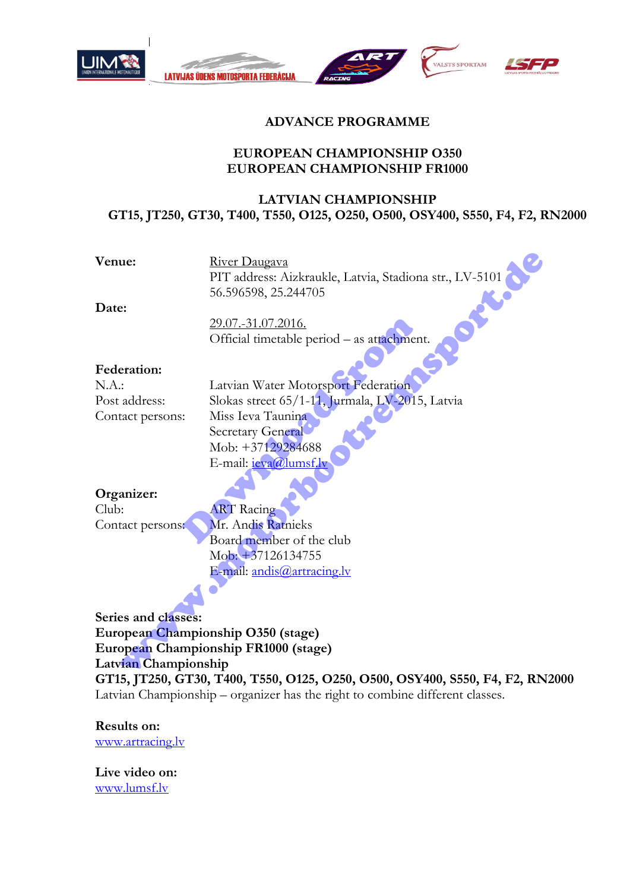



# **ADVANCE PROGRAMME**

### **EUROPEAN CHAMPIONSHIP O350 EUROPEAN CHAMPIONSHIP FR1000**

## **LATVIAN CHAMPIONSHIP GT15, JT250, GT30, T400, T550, O125, O250, O500, OSY400, S550, F4, F2, RN2000**

Venue: River Daugava PIT address: Aizkraukle, Latvia, Stadiona str., LV-5101 56.596598, 25.244705

**Date:**

29.07.-31.07.2016. Official timetable period – as attachment.

#### **Federation:**

N.A.: Latvian Water Motorsport Federation Post address: Slokas street 65/1-11, Jurmala, LV-2015, Latvia Contact persons: Miss Ieva Taunina Secretary General Mob: +37129284688 E-mail: *ieva@lumsf.lv* 29.07.-31.07.2016.<br>
Official timetable period – as attachmen<br>
Latvian Water Motorsport Federation<br>
Slokas street 65/1-11, Jurmala, LV-2015<br>
Miss Ieva Taunina<br>
Secretary General<br>
Mob: +37129284688<br>
E-mail: <u>ieva@lumsf.ly</u><br> ue:<br>
River Daugava<br>
PIT address: Aizkraukle, Latvia, Stadiona str., LV-5101<br>
56.596598, 25.244705<br>
22.07.-31.07.2016<br>
Official timetable period – as attachment.<br>
<br>
address:<br>
Latvian Water Motorsport Federation<br>
address:<br>
S

## **Organizer:**

Club: ART Racing

Contact persons: Mr. Andis Ratnieks Board member of the club Mob: +37126134755 E-mail: andis@artracing.lv

**Series and classes: European Championship O350 (stage) European Championship FR1000 (stage) Latvian Championship** 

**GT15, JT250, GT30, T400, T550, O125, O250, O500, OSY400, S550, F4, F2, RN2000**  Latvian Championship – organizer has the right to combine different classes.

#### **Results on:**

[www.artracing.lv](http://www.artracing.lv/) 

**Live video on:** [www.lumsf.lv](http://www.lumsf.lv/)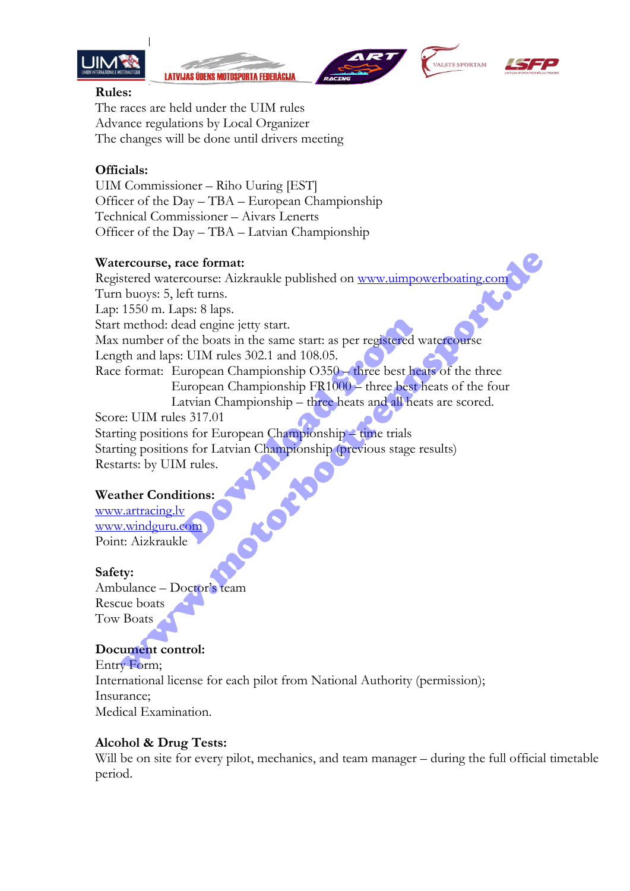

**LATVIJAS ÜDENS MOTOSPORTA FEDERĀCIJA** 







#### **Rules:**

The races are held under the UIM rules Advance regulations by Local Organizer The changes will be done until drivers meeting

## **Officials:**

UIM Commissioner – Riho Uuring [EST] Officer of the Day – TBA – European Championship Technical Commissioner – Aivars Lenerts Officer of the Day – TBA – Latvian Championship

### **Watercourse, race format:**

Registered watercourse: Aizkraukle published on www.uimpowerboating.com Turn buoys: 5, left turns. Lap: 1550 m. Laps: 8 laps. Start method: dead engine jetty start. Max number of the boats in the same start: as per registered watercourse Length and laps: UIM rules 302.1 and 108.05. Race format: European Championship O350 – three best heats of the three European Championship FR1000 – three best heats of the four Latvian Championship – three heats and all heats are scored. Score: UIM rules 317.01 Starting positions for European Championship – time trials Starting positions for Latvian Championship (previous stage results) Restarts: by UIM rules. Download from ercourse, race format:<br>
stere[d](http://www.uimpowerboating.com/) watercourse: Aizkraukle published on <u>www.uimpowerboating.com</u><br>
1650 m. Laps: 8 laps.<br>
method: dead engine jetty start.<br>
number of the boats in the same start: as per registered watercourse<br>

## **Weather Conditions:**

www.artracing.lv [www.windguru.com](http://www.windguru.com/)  Point: Aizkraukle

## **Safety:**

Ambulance – Doctor's team Rescue boats Tow Boats

## **Document control:**

Entry Form; International license for each pilot from National Authority (permission); Insurance; Medical Examination.

#### **Alcohol & Drug Tests:**

Will be on site for every pilot, mechanics, and team manager – during the full official timetable period.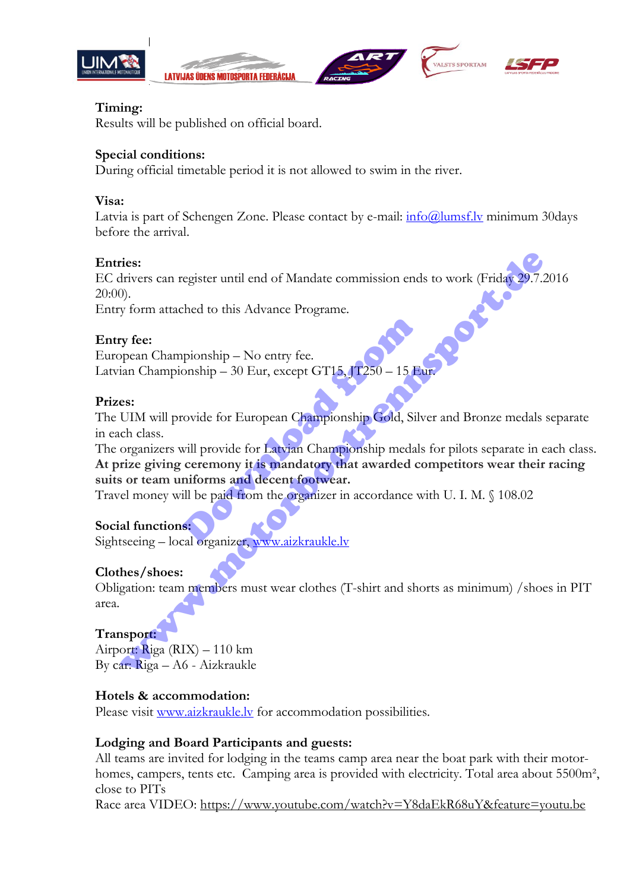









## **Timing:**

Results will be published on official board.

## **Special conditions:**

During official timetable period it is not allowed to swim in the river.

## **Visa:**

Latvia is part of Schengen Zone. Please contact by e-mail:  $\frac{info(\hat{\omega})}{unsf.v}$  minimum 30days before the arrival.

## **Entries:**

EC drivers can register until end of Mandate commission ends to work (Friday 29.7.2016 20:00).

Entry form attached to this Advance Programe.

## **Entry fee:**

European Championship – No entry fee. Latvian Championship – 30 Eur, except GT15, JT250 – 15 Eur.

## **Prizes:**

The UIM will provide for European Championship Gold, Silver and Bronze medals separate in each class.

The organizers will provide for Latvian Championship medals for pilots separate in each class. **At prize giving ceremony it is mandatory that awarded competitors wear their racing suits or team uniforms and decent footwear.** pionship – No entry fee.<br>
onship – 30 Eur, except GT15, JT250 – 15 European Championship Gold, Silver<br>
rovide for European Championship Gold, Silver<br>
will provide for Latvian Championship medals<br>
ceremony it is mandatory t ries:<br>
ries:<br>
ries:<br>
ries:<br>
ries:<br>
y form attached to this Advance Programe.<br>
y form attached to this Advance Programe.<br>
y fee:<br>
y fee:<br>
ppen Championship – 30 Fur, except GT15, JT250 – 15 Fur.<br>
es:<br>
CIM will provide for E

Travel money will be paid from the organizer in accordance with U. I. M. § 108.02

# **Social functions:**

Sightseeing – local organizer, www.aizkraukle.lv

## **Clothes/shoes:**

Obligation: team members must wear clothes (T-shirt and shorts as minimum) /shoes in PIT area.

# **Transport:**

Airport: Riga (RIX) – 110 km By car: Riga – A6 - Aizkraukle

# **Hotels & accommodation:**

Please visit [www.aizkraukle.lv](http://www.aizkraukle.lv/) for accommodation possibilities.

## **Lodging and Board Participants and guests:**

All teams are invited for lodging in the teams camp area near the boat park with their motorhomes, campers, tents etc. Camping area is provided with electricity. Total area about 5500m<sup>2</sup>, close to PITs

Race area VIDEO: https://www.youtube.com/watch?v=Y8daEkR68uY&feature=youtu.be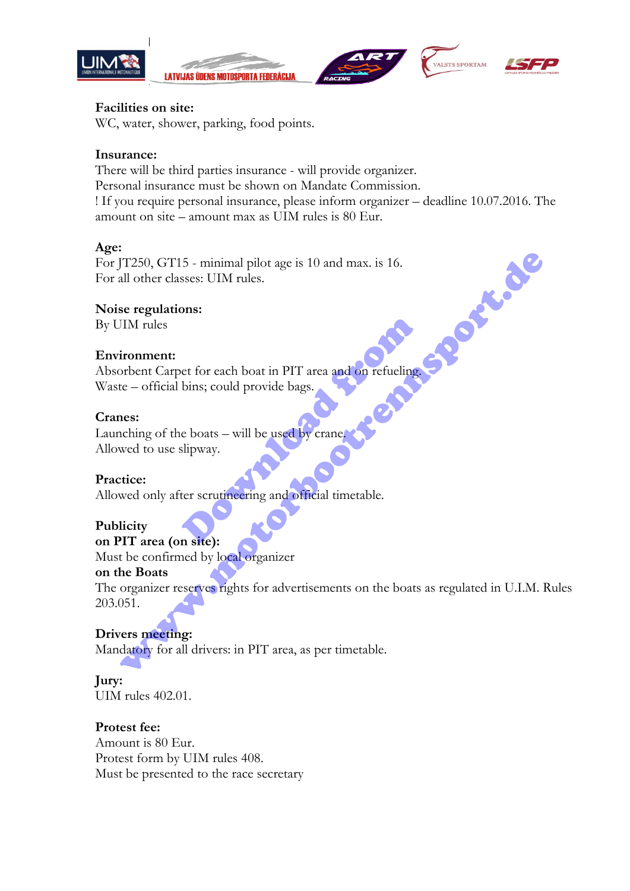







.<br>VALSTS SPORTAM

### **Facilities on site:**

WC, water, shower, parking, food points.

## **Insurance:**

There will be third parties insurance - will provide organizer. Personal insurance must be shown on Mandate Commission. ! If you require personal insurance, please inform organizer – deadline 10.07.2016. The amount on site – amount max as UIM rules is 80 Eur.

### **Age:**

For JT250, GT15 - minimal pilot age is 10 and max. is 16. For all other classes: UIM rules. Environment:<br>Absorbent Carpet for each boat in PIT area and on refueling.

## **Noise regulations:**

By UIM rules

## **Environment:**

Waste – official bins; could provide bags. et for each boat in PIT area and on refueling<br>bins; could provide bags.<br>e boats – will be used by crane.<br>slipway.<br>ter scrutineering and official timetable.

### **Cranes:**

Launching of the boats – will be used by crane. Allowed to use slipway.

## **Practice:**

Allowed only after scrutineering and official timetable.

# **Publicity**

**on PIT area (on site):**

Must be confirmed by local organizer

## **on the Boats**

The organizer reserves rights for advertisements on the boats as regulated in U.I.M. Rules 203.051. Traso, GT15 - minimal pilot age is 10 and max. is 16.<br>
Il Other classes: UIM rules.<br>
See regulations:<br>
IIM rules<br>
simulations:<br>
TIM rules<br>
interest to reach boat in PIT area and to refueling<br>
the te-official bins; could pr

# **Drivers meeting:**

Mandatory for all drivers: in PIT area, as per timetable.

# **Jury:**

UIM rules 402.01.

## **Protest fee:**

Amount is 80 Eur. Protest form by UIM rules 408. Must be presented to the race secretary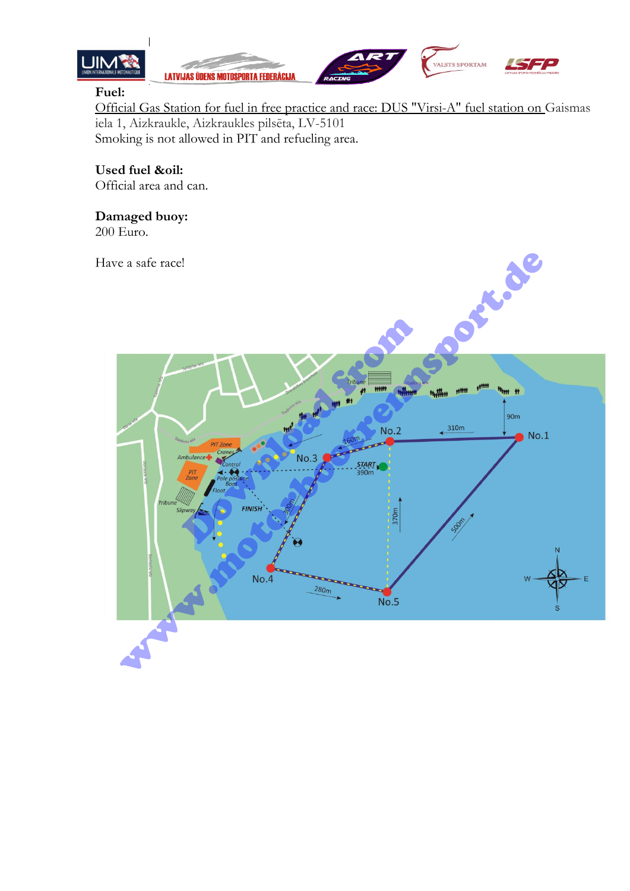



## **Fuel:**

Official Gas Station for fuel in free practice and race: DUS "Virsi-A" fuel station on Gaismas iela 1, Aizkraukle, Aizkraukles pilsēta, LV-5101 Smoking is not allowed in PIT and refueling area.

## **Used fuel &oil:**

Official area and can.

## **Damaged buoy:**

200 Euro.

Have a safe race!

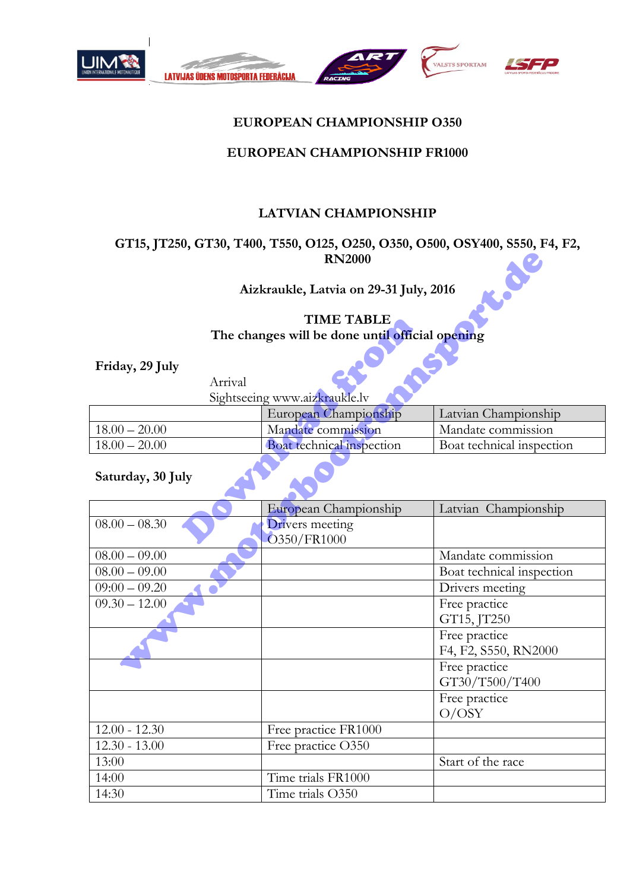



## **EUROPEAN CHAMPIONSHIP O350**

## **EUROPEAN CHAMPIONSHIP FR1000**

## **LATVIAN CHAMPIONSHIP**

## **GT15, JT250, GT30, T400, T550, O125, O250, O350, O500, OSY400, S550, F4, F2, RN2000**

# **TIME TABLE The changes will be done until official opening**

| TIME TABLE                                      |         |                                |                           |
|-------------------------------------------------|---------|--------------------------------|---------------------------|
| The changes will be done until official opening |         |                                |                           |
| Friday, 29 July                                 |         |                                |                           |
|                                                 | Arrival |                                |                           |
| Sightseeing www.aizkraukle.lv                   |         |                                |                           |
|                                                 |         | European Championship          | Latvian Championship      |
| $18.00 - 20.00$                                 |         | Mandate commission             | Mandate commission        |
| $18.00 - 20.00$                                 |         | Boat technical inspection      | Boat technical inspection |
| Saturday, 30 July                               |         |                                |                           |
|                                                 |         | European Championship          | Latvian Championship      |
| $08.00 - 08.30$                                 |         | Drivers meeting<br>O350/FR1000 |                           |

## **Saturday, 30 July**

|                                                |         | <b>RN2000</b>                                   |                                       |  |
|------------------------------------------------|---------|-------------------------------------------------|---------------------------------------|--|
| K.OC<br>Aizkraukle, Latvia on 29-31 July, 2016 |         |                                                 |                                       |  |
| <b>TIME TABLE</b>                              |         |                                                 |                                       |  |
|                                                |         | The changes will be done until official opening |                                       |  |
| Friday, 29 July                                |         |                                                 |                                       |  |
|                                                | Arrival |                                                 |                                       |  |
|                                                |         | Sightseeing www.aizkraukle.lv                   |                                       |  |
|                                                |         | European Championship                           | Latvian Championship                  |  |
| $18.00 - 20.00$                                |         | Mandate commission                              | Mandate commission                    |  |
| $18.00 - 20.00$                                |         | Boat technical inspection                       | Boat technical inspection             |  |
| Saturday, 30 July                              |         |                                                 |                                       |  |
|                                                |         | European Championship                           | Latvian Championship                  |  |
| $08.00 - 08.30$                                |         | Drivers meeting<br>O350/FR1000                  |                                       |  |
| $08.00 - 09.00$                                |         |                                                 | Mandate commission                    |  |
| $08.00 - 09.00$                                |         |                                                 | Boat technical inspection             |  |
| $09:00 - 09.20$                                |         |                                                 | Drivers meeting                       |  |
| $09.30 - 12.00$                                |         |                                                 | Free practice<br>GT15, JT250          |  |
|                                                |         |                                                 | Free practice<br>F4, F2, S550, RN2000 |  |
|                                                |         |                                                 | Free practice<br>GT30/T500/T400       |  |
|                                                |         |                                                 | Free practice<br>O/OSY                |  |
| $12.00 - 12.30$                                |         | Free practice FR1000                            |                                       |  |
| $12.30 - 13.00$                                |         | Free practice O350                              |                                       |  |
| 13:00                                          |         |                                                 | Start of the race                     |  |
| 14:00                                          |         | Time trials FR1000                              |                                       |  |
| 14:30                                          |         | Time trials O350                                |                                       |  |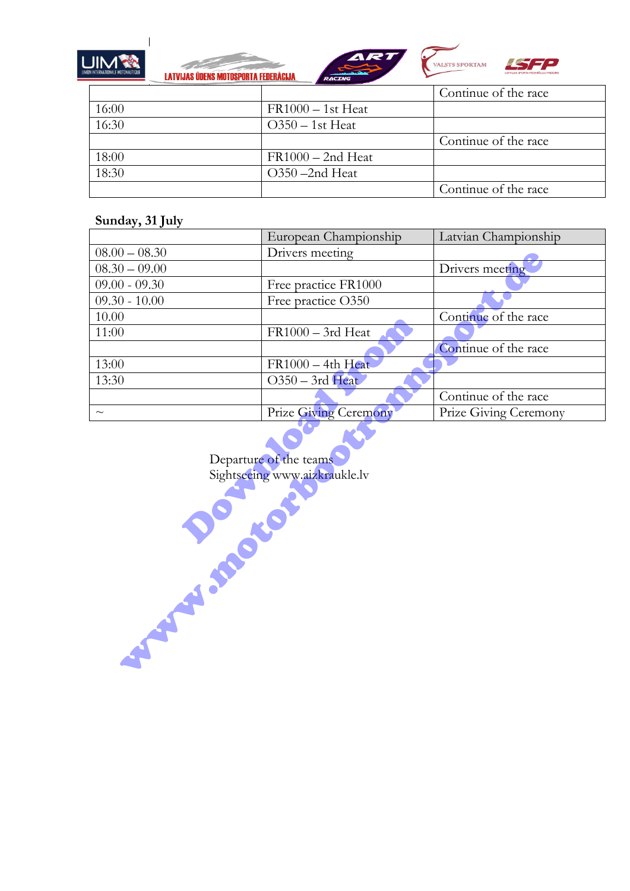

**LATVIJAS ÜDENS MOTOSPORTA FEDERĀCIJA** 





|       |                     | Continue of the race |
|-------|---------------------|----------------------|
| 16:00 | $FR1000 - 1st Heat$ |                      |
| 16:30 | $O350 - 1st$ Heat   |                      |
|       |                     | Continue of the race |
| 18:00 | $FR1000 - 2nd Heat$ |                      |
| 18:30 | O350-2nd Heat       |                      |
|       |                     | Continue of the race |

## **Sunday, 31 July**

|                                                                                      | European Championship | Latvian Championship  |
|--------------------------------------------------------------------------------------|-----------------------|-----------------------|
| $08.00 - 08.30$                                                                      | Drivers meeting       |                       |
| $08.30 - 09.00$                                                                      |                       | Drivers meeting       |
| $09.00 - 09.30$                                                                      | Free practice FR1000  |                       |
| $09.30 - 10.00$                                                                      | Free practice O350    |                       |
| 10.00                                                                                |                       | Continue of the race  |
| 11:00                                                                                | FR1000 - 3rd Heat     |                       |
|                                                                                      |                       | Continue of the race  |
| 13:00                                                                                | $FR1000 - 4th Heat$   |                       |
| 13:30                                                                                | O350 - 3rd Heat       |                       |
|                                                                                      |                       | Continue of the race  |
| $\sim$                                                                               | Prize Giving Ceremony | Prize Giving Ceremony |
| Departure of the teams<br>Sightseeing www.aizkraukle.lv<br><b>SILENCE CONTROLLER</b> |                       |                       |